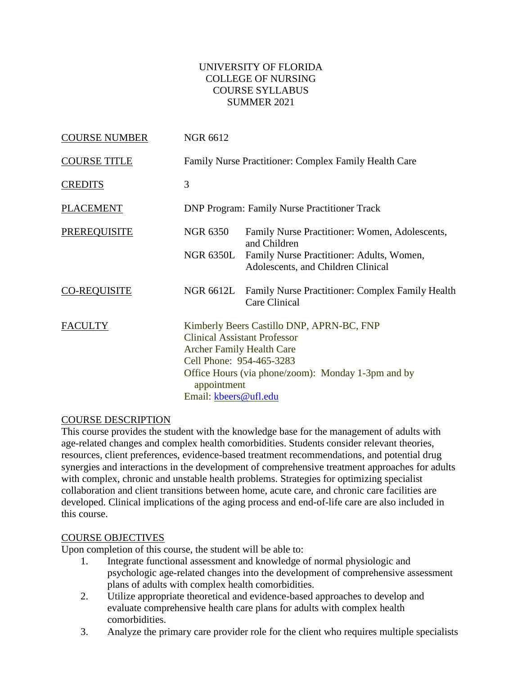#### UNIVERSITY OF FLORIDA COLLEGE OF NURSING COURSE SYLLABUS SUMMER 2021

| <b>COURSE NUMBER</b> | <b>NGR 6612</b>                                                                                      |                                                                                                                                        |  |
|----------------------|------------------------------------------------------------------------------------------------------|----------------------------------------------------------------------------------------------------------------------------------------|--|
| <b>COURSE TITLE</b>  |                                                                                                      | Family Nurse Practitioner: Complex Family Health Care                                                                                  |  |
| <b>CREDITS</b>       | 3                                                                                                    |                                                                                                                                        |  |
| <b>PLACEMENT</b>     | <b>DNP Program: Family Nurse Practitioner Track</b>                                                  |                                                                                                                                        |  |
| <b>PREREQUISITE</b>  | <b>NGR 6350</b>                                                                                      | Family Nurse Practitioner: Women, Adolescents,<br>and Children                                                                         |  |
|                      | NGR 6350L                                                                                            | Family Nurse Practitioner: Adults, Women,<br>Adolescents, and Children Clinical                                                        |  |
| <b>CO-REQUISITE</b>  | <b>NGR 6612L</b>                                                                                     | Family Nurse Practitioner: Complex Family Health<br>Care Clinical                                                                      |  |
| <b>FACULTY</b>       | <b>Archer Family Health Care</b><br>Cell Phone: 954-465-3283<br>appointment<br>Email: kbeers@ufl.edu | Kimberly Beers Castillo DNP, APRN-BC, FNP<br><b>Clinical Assistant Professor</b><br>Office Hours (via phone/zoom): Monday 1-3pm and by |  |

## COURSE DESCRIPTION

This course provides the student with the knowledge base for the management of adults with age-related changes and complex health comorbidities. Students consider relevant theories, resources, client preferences, evidence-based treatment recommendations, and potential drug synergies and interactions in the development of comprehensive treatment approaches for adults with complex, chronic and unstable health problems. Strategies for optimizing specialist collaboration and client transitions between home, acute care, and chronic care facilities are developed. Clinical implications of the aging process and end-of-life care are also included in this course.

#### COURSE OBJECTIVES

Upon completion of this course, the student will be able to:

- 1. Integrate functional assessment and knowledge of normal physiologic and psychologic age-related changes into the development of comprehensive assessment plans of adults with complex health comorbidities.
- 2. Utilize appropriate theoretical and evidence-based approaches to develop and evaluate comprehensive health care plans for adults with complex health comorbidities.
- 3. Analyze the primary care provider role for the client who requires multiple specialists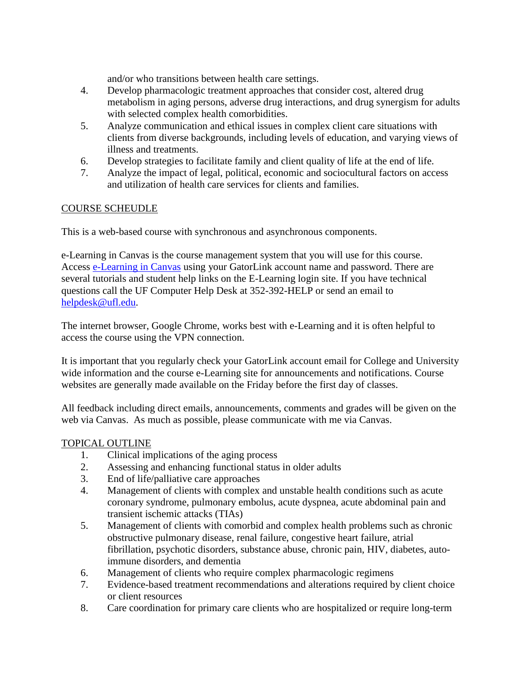and/or who transitions between health care settings.

- 4. Develop pharmacologic treatment approaches that consider cost, altered drug metabolism in aging persons, adverse drug interactions, and drug synergism for adults with selected complex health comorbidities.
- 5. Analyze communication and ethical issues in complex client care situations with clients from diverse backgrounds, including levels of education, and varying views of illness and treatments.
- 6. Develop strategies to facilitate family and client quality of life at the end of life.
- 7. Analyze the impact of legal, political, economic and sociocultural factors on access and utilization of health care services for clients and families.

## COURSE SCHEUDLE

This is a web-based course with synchronous and asynchronous components.

e-Learning in Canvas is the course management system that you will use for this course. Access [e-Learning in](http://elearning.ufl.edu/) Canvas using your GatorLink account name and password. There are several tutorials and student help links on the E-Learning login site. If you have technical questions call the UF Computer Help Desk at 352-392-HELP or send an email to [helpdesk@ufl.edu.](mailto:helpdesk@ufl.edu)

The internet browser, Google Chrome, works best with e-Learning and it is often helpful to access the course using the VPN connection.

It is important that you regularly check your GatorLink account email for College and University wide information and the course e-Learning site for announcements and notifications. Course websites are generally made available on the Friday before the first day of classes.

All feedback including direct emails, announcements, comments and grades will be given on the web via Canvas. As much as possible, please communicate with me via Canvas.

## TOPICAL OUTLINE

- 1. Clinical implications of the aging process
- 2. Assessing and enhancing functional status in older adults
- 3. End of life/palliative care approaches
- 4. Management of clients with complex and unstable health conditions such as acute coronary syndrome, pulmonary embolus, acute dyspnea, acute abdominal pain and transient ischemic attacks (TIAs)
- 5. Management of clients with comorbid and complex health problems such as chronic obstructive pulmonary disease, renal failure, congestive heart failure, atrial fibrillation, psychotic disorders, substance abuse, chronic pain, HIV, diabetes, autoimmune disorders, and dementia
- 6. Management of clients who require complex pharmacologic regimens
- 7. Evidence-based treatment recommendations and alterations required by client choice or client resources
- 8. Care coordination for primary care clients who are hospitalized or require long-term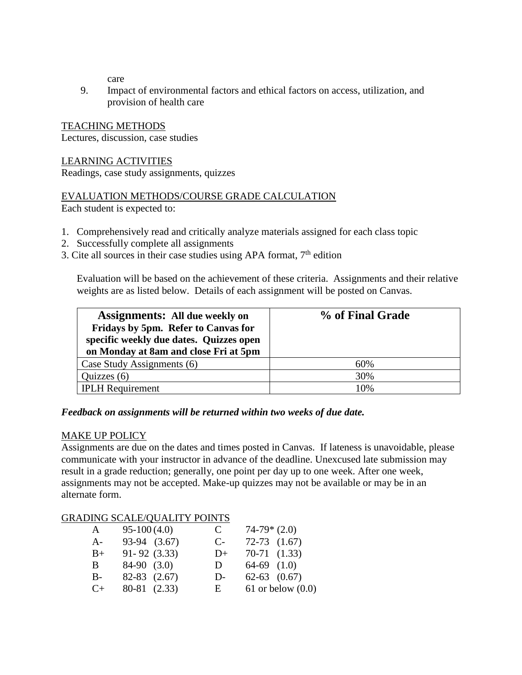care

9. Impact of environmental factors and ethical factors on access, utilization, and provision of health care

## TEACHING METHODS

Lectures, discussion, case studies

#### LEARNING ACTIVITIES

Readings, case study assignments, quizzes

# EVALUATION METHODS/COURSE GRADE CALCULATION

Each student is expected to:

- 1. Comprehensively read and critically analyze materials assigned for each class topic
- 2. Successfully complete all assignments
- 3. Cite all sources in their case studies using APA format,  $7<sup>th</sup>$  edition

Evaluation will be based on the achievement of these criteria. Assignments and their relative weights are as listed below. Details of each assignment will be posted on Canvas.

| <b>Assignments: All due weekly on</b><br>Fridays by 5pm. Refer to Canvas for<br>specific weekly due dates. Quizzes open<br>on Monday at 8am and close Fri at 5pm | % of Final Grade |
|------------------------------------------------------------------------------------------------------------------------------------------------------------------|------------------|
| Case Study Assignments (6)                                                                                                                                       | 60%              |
| Quizzes $(6)$                                                                                                                                                    | 30%              |
| <b>IPLH</b> Requirement                                                                                                                                          | 10%              |

## *Feedback on assignments will be returned within two weeks of due date.*

## MAKE UP POLICY

Assignments are due on the dates and times posted in Canvas. If lateness is unavoidable, please communicate with your instructor in advance of the deadline. Unexcused late submission may result in a grade reduction; generally, one point per day up to one week. After one week, assignments may not be accepted. Make-up quizzes may not be available or may be in an alternate form.

## GRADING SCALE/QUALITY POINTS

| A         | $95-100(4.0)$    | C     | $74-79*(2.0)$       |
|-----------|------------------|-------|---------------------|
| $A-$      | 93-94 (3.67)     | $C$ - | $72-73$ $(1.67)$    |
| $B+$      | $91 - 92$ (3.33) | $D+$  | $70-71$ $(1.33)$    |
| B.        | $84-90$ $(3.0)$  | D     | $64-69$ $(1.0)$     |
| $B-$      | $82-83$ $(2.67)$ | $D-$  | $62-63$ $(0.67)$    |
| $C_{\pm}$ | 80-81 (2.33)     | E     | 61 or below $(0.0)$ |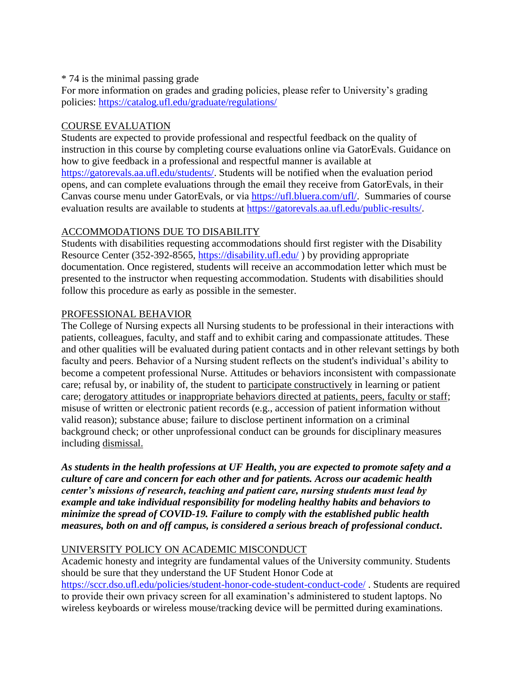#### \* 74 is the minimal passing grade

For more information on grades and grading policies, please refer to University's grading policies:<https://catalog.ufl.edu/graduate/regulations/>

## COURSE EVALUATION

Students are expected to provide professional and respectful feedback on the quality of instruction in this course by completing course evaluations online via GatorEvals. Guidance on how to give feedback in a professional and respectful manner is available at [https://gatorevals.aa.ufl.edu/students/.](https://gatorevals.aa.ufl.edu/students/) Students will be notified when the evaluation period opens, and can complete evaluations through the email they receive from GatorEvals, in their Canvas course menu under GatorEvals, or via [https://ufl.bluera.com/ufl/.](https://ufl.bluera.com/ufl/) Summaries of course evaluation results are available to students at [https://gatorevals.aa.ufl.edu/public-results/.](https://gatorevals.aa.ufl.edu/public-results/)

# ACCOMMODATIONS DUE TO DISABILITY

Students with disabilities requesting accommodations should first register with the Disability Resource Center (352-392-8565,<https://disability.ufl.edu/> ) by providing appropriate documentation. Once registered, students will receive an accommodation letter which must be presented to the instructor when requesting accommodation. Students with disabilities should follow this procedure as early as possible in the semester.

## PROFESSIONAL BEHAVIOR

The College of Nursing expects all Nursing students to be professional in their interactions with patients, colleagues, faculty, and staff and to exhibit caring and compassionate attitudes. These and other qualities will be evaluated during patient contacts and in other relevant settings by both faculty and peers. Behavior of a Nursing student reflects on the student's individual's ability to become a competent professional Nurse. Attitudes or behaviors inconsistent with compassionate care; refusal by, or inability of, the student to participate constructively in learning or patient care; derogatory attitudes or inappropriate behaviors directed at patients, peers, faculty or staff; misuse of written or electronic patient records (e.g., accession of patient information without valid reason); substance abuse; failure to disclose pertinent information on a criminal background check; or other unprofessional conduct can be grounds for disciplinary measures including dismissal.

*As students in the health professions at UF Health, you are expected to promote safety and a culture of care and concern for each other and for patients. Across our academic health center's missions of research, teaching and patient care, nursing students must lead by example and take individual responsibility for modeling healthy habits and behaviors to minimize the spread of COVID-19. Failure to comply with the established public health measures, both on and off campus, is considered a serious breach of professional conduct***.** 

# UNIVERSITY POLICY ON ACADEMIC MISCONDUCT

Academic honesty and integrity are fundamental values of the University community. Students should be sure that they understand the UF Student Honor Code at <https://sccr.dso.ufl.edu/policies/student-honor-code-student-conduct-code/> . Students are required to provide their own privacy screen for all examination's administered to student laptops. No wireless keyboards or wireless mouse/tracking device will be permitted during examinations.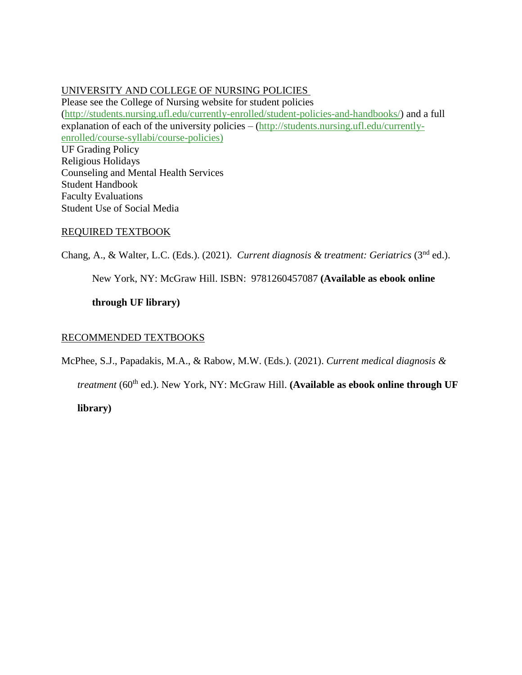#### UNIVERSITY AND COLLEGE OF NURSING POLICIES

Please see the College of Nursing website for student policies [\(http://students.nursing.ufl.edu/currently-enrolled/student-policies-and-handbooks/\)](http://students.nursing.ufl.edu/currently-enrolled/student-policies-and-handbooks/) and a full explanation of each of the university policies – [\(http://students.nursing.ufl.edu/currently](http://students.nursing.ufl.edu/currently-enrolled/course-syllabi/course-policies)[enrolled/course-syllabi/course-policies\)](http://students.nursing.ufl.edu/currently-enrolled/course-syllabi/course-policies) UF Grading Policy Religious Holidays Counseling and Mental Health Services Student Handbook Faculty Evaluations Student Use of Social Media

#### REQUIRED TEXTBOOK

Chang, A., & Walter, L.C. (Eds.). (2021). *Current diagnosis & treatment: Geriatrics* (3<sup>nd</sup> ed.).

New York, NY: McGraw Hill. ISBN: 9781260457087 **(Available as ebook online** 

**through UF library)**

#### RECOMMENDED TEXTBOOKS

McPhee, S.J., Papadakis, M.A., & Rabow, M.W. (Eds.). (2021). *Current medical diagnosis &* 

*treatment* (60<sup>th</sup> ed.). New York, NY: McGraw Hill. (Available as ebook online through UF

**library)**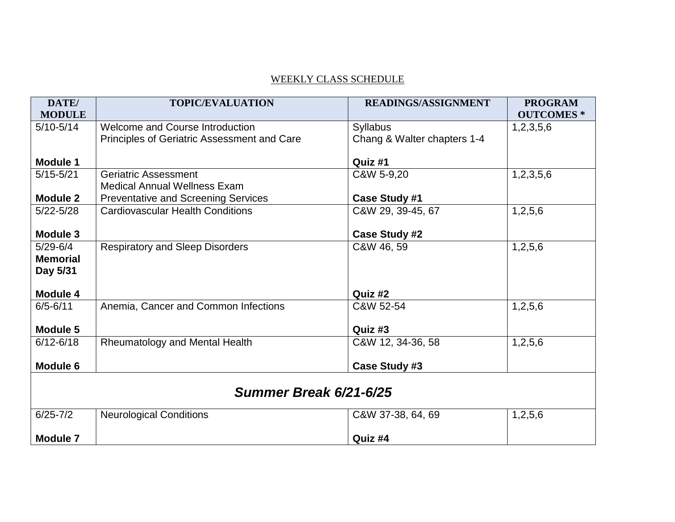# WEEKLY CLASS SCHEDULE

| DATE/                  | <b>TOPIC/EVALUATION</b>                            | <b>READINGS/ASSIGNMENT</b>  | <b>PROGRAM</b>   |  |
|------------------------|----------------------------------------------------|-----------------------------|------------------|--|
| <b>MODULE</b>          |                                                    |                             | <b>OUTCOMES*</b> |  |
| $5/10 - 5/14$          | Welcome and Course Introduction                    | <b>Syllabus</b>             | 1,2,3,5,6        |  |
|                        | <b>Principles of Geriatric Assessment and Care</b> | Chang & Walter chapters 1-4 |                  |  |
|                        |                                                    |                             |                  |  |
| <b>Module 1</b>        |                                                    | Quiz #1                     |                  |  |
| $5/15 - 5/21$          | <b>Geriatric Assessment</b>                        | C&W 5-9,20                  | 1,2,3,5,6        |  |
|                        | <b>Medical Annual Wellness Exam</b>                |                             |                  |  |
| <b>Module 2</b>        | <b>Preventative and Screening Services</b>         | <b>Case Study #1</b>        |                  |  |
| $5/22 - 5/28$          | <b>Cardiovascular Health Conditions</b>            | C&W 29, 39-45, 67           | 1,2,5,6          |  |
|                        |                                                    |                             |                  |  |
| <b>Module 3</b>        |                                                    | <b>Case Study #2</b>        |                  |  |
| $5/29 - 6/4$           | <b>Respiratory and Sleep Disorders</b>             | C&W 46, 59                  | 1,2,5,6          |  |
| <b>Memorial</b>        |                                                    |                             |                  |  |
| Day 5/31               |                                                    |                             |                  |  |
|                        |                                                    |                             |                  |  |
| <b>Module 4</b>        |                                                    | Quiz #2                     |                  |  |
| $6/5 - 6/11$           | Anemia, Cancer and Common Infections               | C&W 52-54                   | 1,2,5,6          |  |
|                        |                                                    |                             |                  |  |
| Module 5               |                                                    | Quiz #3                     |                  |  |
| $6/12 - 6/18$          | Rheumatology and Mental Health                     | C&W 12, 34-36, 58           | 1,2,5,6          |  |
|                        |                                                    |                             |                  |  |
| <b>Module 6</b>        |                                                    | Case Study #3               |                  |  |
|                        |                                                    |                             |                  |  |
| Summer Break 6/21-6/25 |                                                    |                             |                  |  |
| $6/25 - 7/2$           | <b>Neurological Conditions</b>                     | C&W 37-38, 64, 69           | 1,2,5,6          |  |
|                        |                                                    |                             |                  |  |
| <b>Module 7</b>        |                                                    | Quiz #4                     |                  |  |